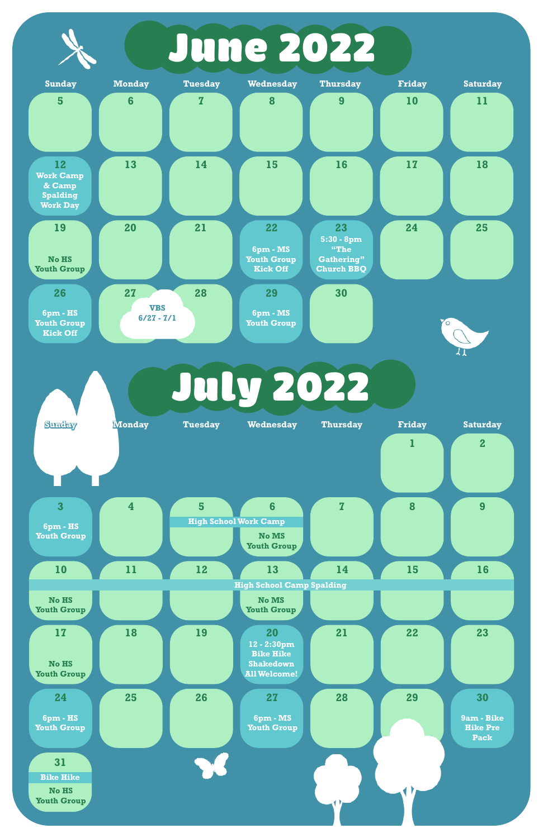